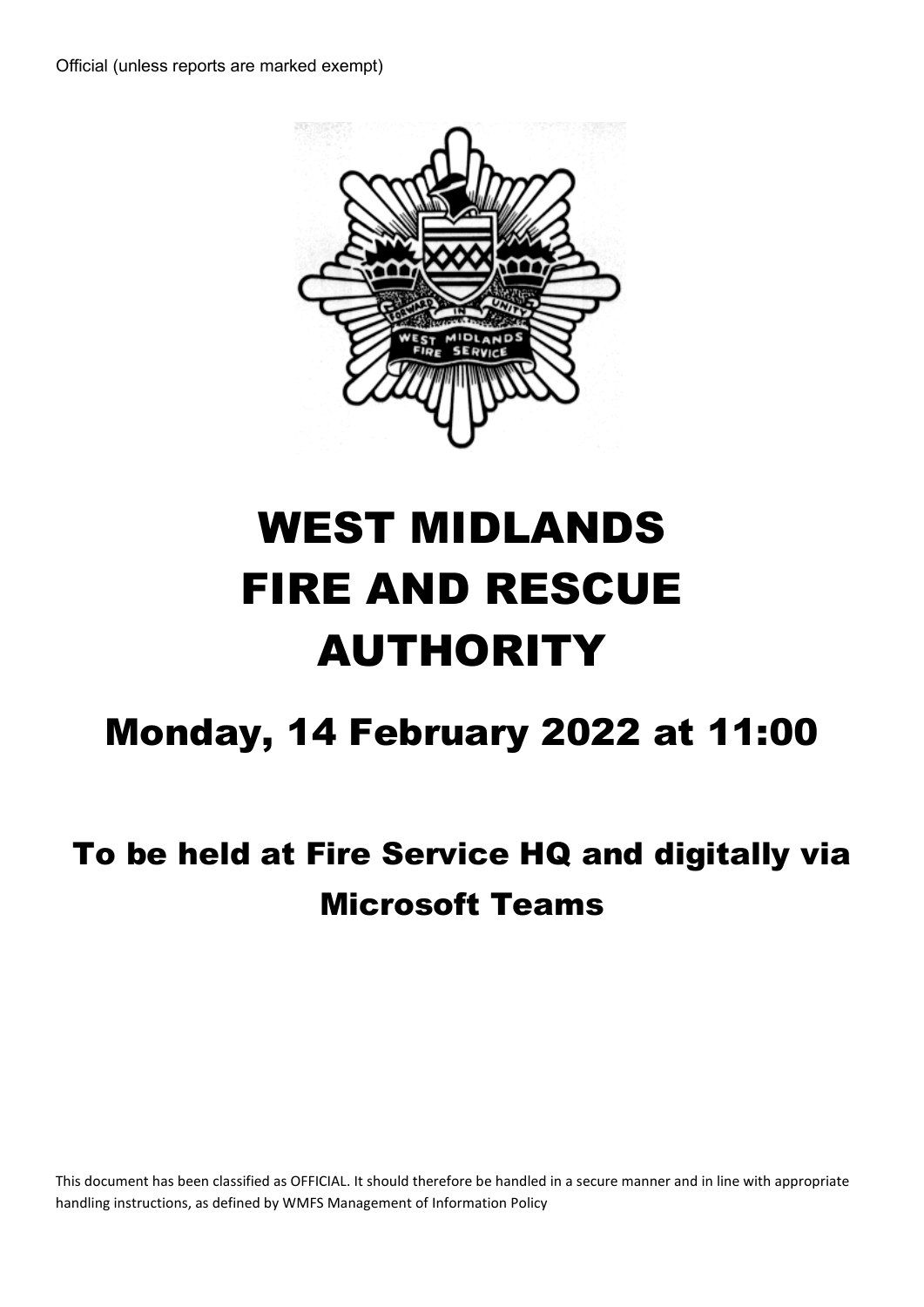

# WEST MIDLANDS FIRE AND RESCUE AUTHORITY

## Monday, 14 February 2022 at 11:00

## To be held at Fire Service HQ and digitally via Microsoft Teams

This document has been classified as OFFICIAL. It should therefore be handled in a secure manner and in line with appropriate handling instructions, as defined by WMFS Management of Information Policy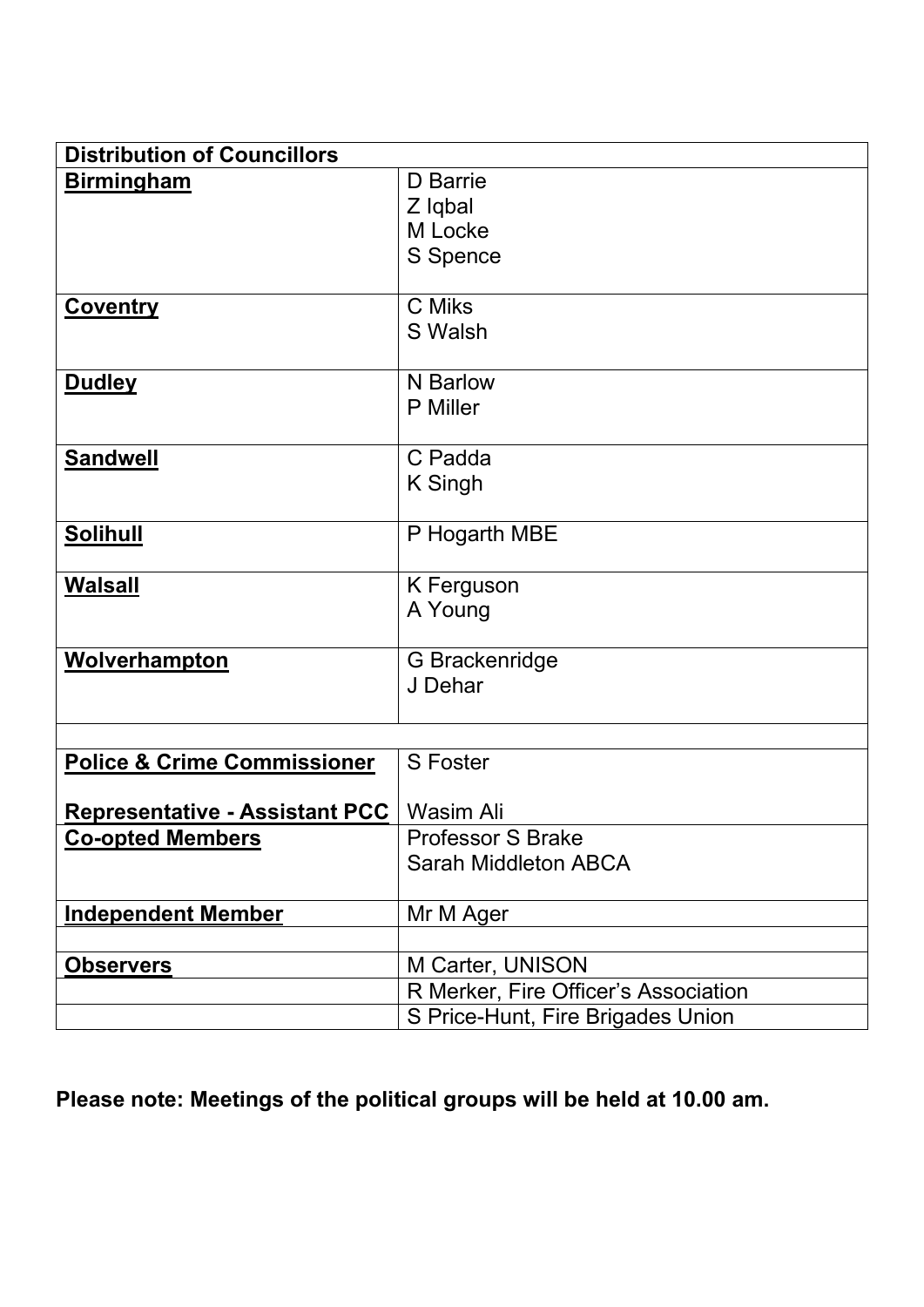| <b>Distribution of Councillors</b>     |                                      |
|----------------------------------------|--------------------------------------|
| <b>Birmingham</b>                      | D Barrie                             |
|                                        | Z Iqbal                              |
|                                        | M Locke                              |
|                                        | S Spence                             |
| <b>Coventry</b>                        | C Miks                               |
|                                        | S Walsh                              |
| <b>Dudley</b>                          | N Barlow                             |
|                                        | <b>P</b> Miller                      |
|                                        | C Padda                              |
| <b>Sandwell</b>                        | K Singh                              |
|                                        |                                      |
| <b>Solihull</b>                        | P Hogarth MBE                        |
|                                        |                                      |
| <b>Walsall</b>                         | K Ferguson                           |
|                                        | A Young                              |
| <b>Wolverhampton</b>                   | G Brackenridge                       |
|                                        | J Dehar                              |
|                                        |                                      |
|                                        |                                      |
| <b>Police &amp; Crime Commissioner</b> | <b>S</b> Foster                      |
| <b>Representative - Assistant PCC</b>  | Wasim Ali                            |
| <b>Co-opted Members</b>                | <b>Professor S Brake</b>             |
|                                        | <b>Sarah Middleton ABCA</b>          |
|                                        |                                      |
| <b>Independent Member</b>              | Mr M Ager                            |
|                                        |                                      |
| <b>Observers</b>                       | M Carter, UNISON                     |
|                                        | R Merker, Fire Officer's Association |
|                                        | S Price-Hunt, Fire Brigades Union    |

**Please note: Meetings of the political groups will be held at 10.00 am.**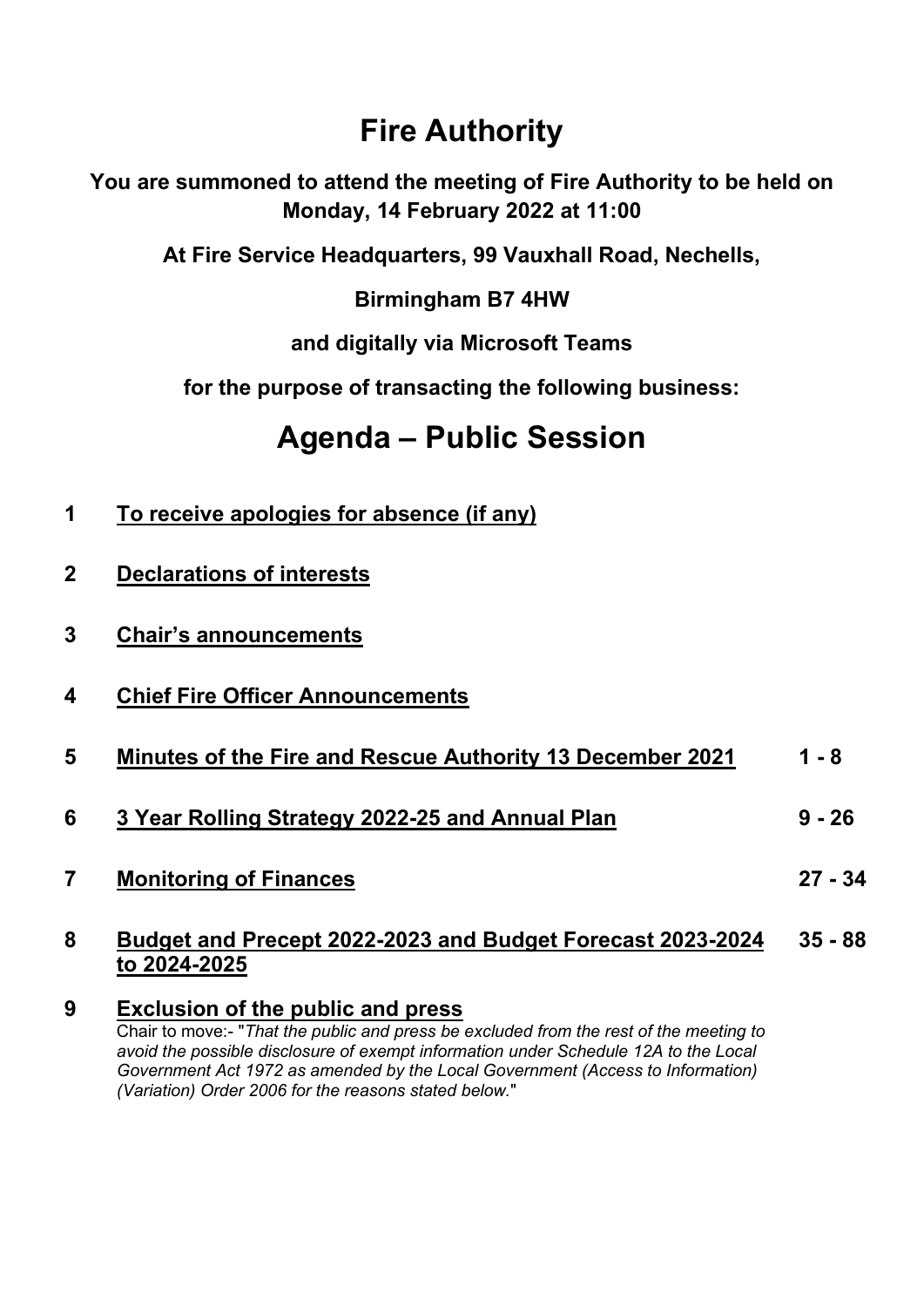### **Fire Authority**

**You are summoned to attend the meeting of Fire Authority to be held on Monday, 14 February 2022 at 11:00** 

**At Fire Service Headquarters, 99 Vauxhall Road, Nechells,** 

**Birmingham B7 4HW** 

**and digitally via Microsoft Teams** 

**for the purpose of transacting the following business:** 

## **Agenda – Public Session**

- **1 To receive apologies for absence (if any)**
- **2 Declarations of interests**
- **3 Chair's announcements**
- **4 Chief Fire Officer Announcements**
- **5 Minutes of the Fire and Rescue Authority 13 December 2021 1 - 8**
- **6 3 Year Rolling Strategy 2022-25 and Annual Plan 9 - 26**
- **7 Monitoring of Finances**

#### **8 Budget and Precept 2022-2023 and Budget Forecast 2023-2024 to 2024-2025 35 - 88**

**27 - 34**

**9 Exclusion of the public and press**  Chair to move:- "*That the public and press be excluded from the rest of the meeting to avoid the possible disclosure of exempt information under Schedule 12A to the Local Government Act 1972 as amended by the Local Government (Access to Information) (Variation) Order 2006 for the reasons stated below.*"